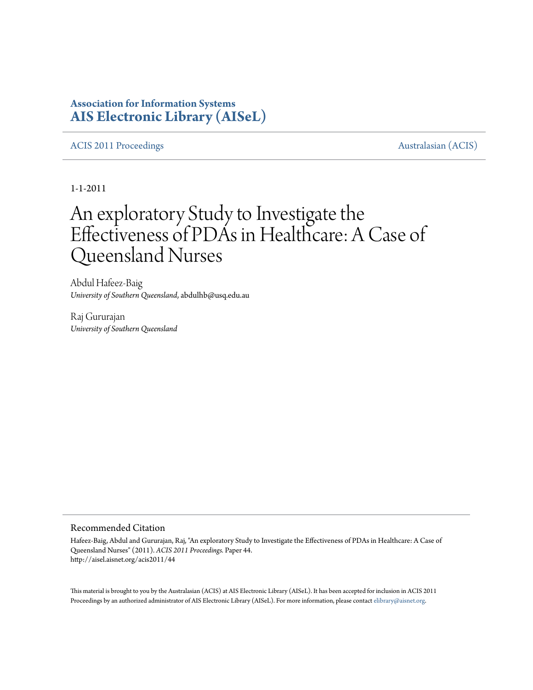# **Association for Information Systems [AIS Electronic Library \(AISeL\)](http://aisel.aisnet.org)**

### [ACIS 2011 Proceedings](http://aisel.aisnet.org/acis2011) **Australasian** (ACIS)

1-1-2011

# An exploratory Study to Investigate the Effectiveness of PDAs in Healthcare: A Case of Queensland Nurses

Abdul Hafeez-Baig *University of Southern Queensland*, abdulhb@usq.edu.au

Raj Gururajan *University of Southern Queensland*

#### Recommended Citation

Hafeez-Baig, Abdul and Gururajan, Raj, "An exploratory Study to Investigate the Effectiveness of PDAs in Healthcare: A Case of Queensland Nurses" (2011). *ACIS 2011 Proceedings.* Paper 44. http://aisel.aisnet.org/acis2011/44

This material is brought to you by the Australasian (ACIS) at AIS Electronic Library (AISeL). It has been accepted for inclusion in ACIS 2011 Proceedings by an authorized administrator of AIS Electronic Library (AISeL). For more information, please contact [elibrary@aisnet.org](mailto:elibrary@aisnet.org>).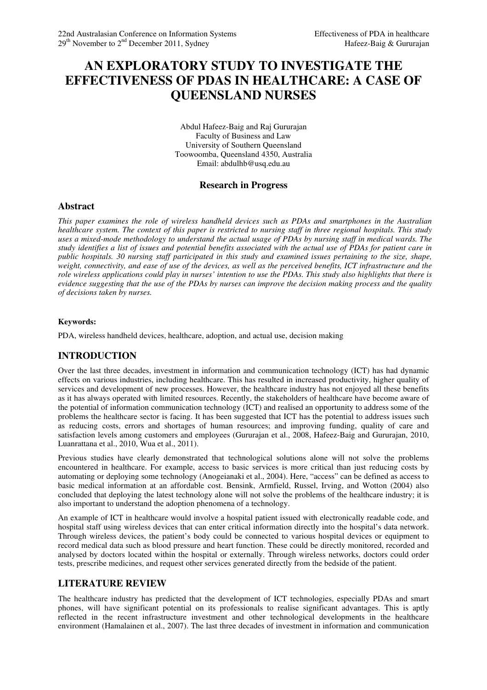# **AN EXPLORATORY STUDY TO INVESTIGATE THE EFFECTIVENESS OF PDAS IN HEALTHCARE: A CASE OF QUEENSLAND NURSES**

Abdul Hafeez-Baig and Raj Gururajan Faculty of Business and Law University of Southern Queensland Toowoomba, Queensland 4350, Australia Email: abdulhb@usq.edu.au

#### **Research in Progress**

#### **Abstract**

*This paper examines the role of wireless handheld devices such as PDAs and smartphones in the Australian healthcare system. The context of this paper is restricted to nursing staff in three regional hospitals. This study uses a mixed-mode methodology to understand the actual usage of PDAs by nursing staff in medical wards. The study identifies a list of issues and potential benefits associated with the actual use of PDAs for patient care in public hospitals. 30 nursing staff participated in this study and examined issues pertaining to the size, shape, weight, connectivity, and ease of use of the devices, as well as the perceived benefits, ICT infrastructure and the role wireless applications could play in nurses' intention to use the PDAs. This study also highlights that there is evidence suggesting that the use of the PDAs by nurses can improve the decision making process and the quality of decisions taken by nurses.* 

#### **Keywords:**

PDA, wireless handheld devices, healthcare, adoption, and actual use, decision making

#### **INTRODUCTION**

Over the last three decades, investment in information and communication technology (ICT) has had dynamic effects on various industries, including healthcare. This has resulted in increased productivity, higher quality of services and development of new processes. However, the healthcare industry has not enjoyed all these benefits as it has always operated with limited resources. Recently, the stakeholders of healthcare have become aware of the potential of information communication technology (ICT) and realised an opportunity to address some of the problems the healthcare sector is facing. It has been suggested that ICT has the potential to address issues such as reducing costs, errors and shortages of human resources; and improving funding, quality of care and satisfaction levels among customers and employees (Gururajan et al., 2008, Hafeez-Baig and Gururajan, 2010, Luanrattana et al., 2010, Wua et al., 2011).

Previous studies have clearly demonstrated that technological solutions alone will not solve the problems encountered in healthcare. For example, access to basic services is more critical than just reducing costs by automating or deploying some technology (Anogeianaki et al., 2004). Here, "access" can be defined as access to basic medical information at an affordable cost. Bensink, Armfield, Russel, Irving, and Wotton (2004) also concluded that deploying the latest technology alone will not solve the problems of the healthcare industry; it is also important to understand the adoption phenomena of a technology.

An example of ICT in healthcare would involve a hospital patient issued with electronically readable code, and hospital staff using wireless devices that can enter critical information directly into the hospital's data network. Through wireless devices, the patient's body could be connected to various hospital devices or equipment to record medical data such as blood pressure and heart function. These could be directly monitored, recorded and analysed by doctors located within the hospital or externally. Through wireless networks, doctors could order tests, prescribe medicines, and request other services generated directly from the bedside of the patient.

#### **LITERATURE REVIEW**

The healthcare industry has predicted that the development of ICT technologies, especially PDAs and smart phones, will have significant potential on its professionals to realise significant advantages. This is aptly reflected in the recent infrastructure investment and other technological developments in the healthcare environment (Hamalainen et al., 2007). The last three decades of investment in information and communication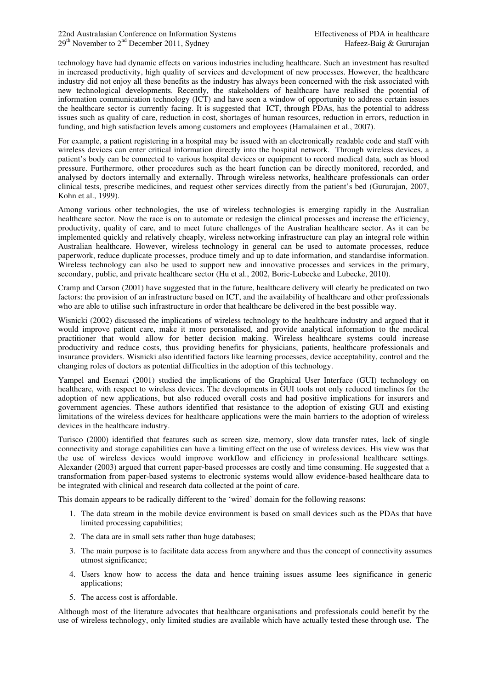technology have had dynamic effects on various industries including healthcare. Such an investment has resulted in increased productivity, high quality of services and development of new processes. However, the healthcare industry did not enjoy all these benefits as the industry has always been concerned with the risk associated with new technological developments. Recently, the stakeholders of healthcare have realised the potential of information communication technology (ICT) and have seen a window of opportunity to address certain issues the healthcare sector is currently facing. It is suggested that ICT, through PDAs, has the potential to address issues such as quality of care, reduction in cost, shortages of human resources, reduction in errors, reduction in funding, and high satisfaction levels among customers and employees (Hamalainen et al., 2007).

For example, a patient registering in a hospital may be issued with an electronically readable code and staff with wireless devices can enter critical information directly into the hospital network. Through wireless devices, a patient's body can be connected to various hospital devices or equipment to record medical data, such as blood pressure. Furthermore, other procedures such as the heart function can be directly monitored, recorded, and analysed by doctors internally and externally. Through wireless networks, healthcare professionals can order clinical tests, prescribe medicines, and request other services directly from the patient's bed (Gururajan, 2007, Kohn et al., 1999).

Among various other technologies, the use of wireless technologies is emerging rapidly in the Australian healthcare sector. Now the race is on to automate or redesign the clinical processes and increase the efficiency, productivity, quality of care, and to meet future challenges of the Australian healthcare sector. As it can be implemented quickly and relatively cheaply, wireless networking infrastructure can play an integral role within Australian healthcare. However, wireless technology in general can be used to automate processes, reduce paperwork, reduce duplicate processes, produce timely and up to date information, and standardise information. Wireless technology can also be used to support new and innovative processes and services in the primary, secondary, public, and private healthcare sector (Hu et al., 2002, Boric-Lubecke and Lubecke, 2010).

Cramp and Carson (2001) have suggested that in the future, healthcare delivery will clearly be predicated on two factors: the provision of an infrastructure based on ICT, and the availability of healthcare and other professionals who are able to utilise such infrastructure in order that healthcare be delivered in the best possible way.

Wisnicki (2002) discussed the implications of wireless technology to the healthcare industry and argued that it would improve patient care, make it more personalised, and provide analytical information to the medical practitioner that would allow for better decision making. Wireless healthcare systems could increase productivity and reduce costs, thus providing benefits for physicians, patients, healthcare professionals and insurance providers. Wisnicki also identified factors like learning processes, device acceptability, control and the changing roles of doctors as potential difficulties in the adoption of this technology.

Yampel and Esenazi (2001) studied the implications of the Graphical User Interface (GUI) technology on healthcare, with respect to wireless devices. The developments in GUI tools not only reduced timelines for the adoption of new applications, but also reduced overall costs and had positive implications for insurers and government agencies. These authors identified that resistance to the adoption of existing GUI and existing limitations of the wireless devices for healthcare applications were the main barriers to the adoption of wireless devices in the healthcare industry.

Turisco (2000) identified that features such as screen size, memory, slow data transfer rates, lack of single connectivity and storage capabilities can have a limiting effect on the use of wireless devices. His view was that the use of wireless devices would improve workflow and efficiency in professional healthcare settings. Alexander (2003) argued that current paper-based processes are costly and time consuming. He suggested that a transformation from paper-based systems to electronic systems would allow evidence-based healthcare data to be integrated with clinical and research data collected at the point of care.

This domain appears to be radically different to the 'wired' domain for the following reasons:

- 1. The data stream in the mobile device environment is based on small devices such as the PDAs that have limited processing capabilities;
- 2. The data are in small sets rather than huge databases;
- 3. The main purpose is to facilitate data access from anywhere and thus the concept of connectivity assumes utmost significance;
- 4. Users know how to access the data and hence training issues assume lees significance in generic applications;
- 5. The access cost is affordable.

Although most of the literature advocates that healthcare organisations and professionals could benefit by the use of wireless technology, only limited studies are available which have actually tested these through use. The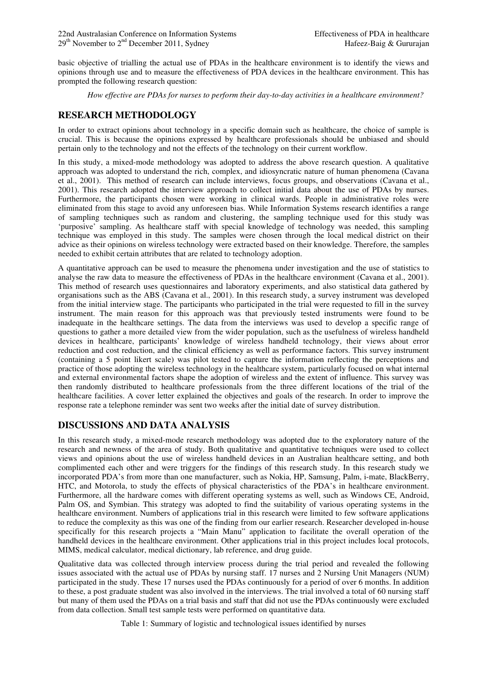basic objective of trialling the actual use of PDAs in the healthcare environment is to identify the views and opinions through use and to measure the effectiveness of PDA devices in the healthcare environment. This has prompted the following research question:

*How effective are PDAs for nurses to perform their day-to-day activities in a healthcare environment?* 

## **RESEARCH METHODOLOGY**

In order to extract opinions about technology in a specific domain such as healthcare, the choice of sample is crucial. This is because the opinions expressed by healthcare professionals should be unbiased and should pertain only to the technology and not the effects of the technology on their current workflow.

In this study, a mixed-mode methodology was adopted to address the above research question. A qualitative approach was adopted to understand the rich, complex, and idiosyncratic nature of human phenomena (Cavana et al., 2001). This method of research can include interviews, focus groups, and observations (Cavana et al., 2001). This research adopted the interview approach to collect initial data about the use of PDAs by nurses. Furthermore, the participants chosen were working in clinical wards. People in administrative roles were eliminated from this stage to avoid any unforeseen bias. While Information Systems research identifies a range of sampling techniques such as random and clustering, the sampling technique used for this study was 'purposive' sampling. As healthcare staff with special knowledge of technology was needed, this sampling technique was employed in this study. The samples were chosen through the local medical district on their advice as their opinions on wireless technology were extracted based on their knowledge. Therefore, the samples needed to exhibit certain attributes that are related to technology adoption.

A quantitative approach can be used to measure the phenomena under investigation and the use of statistics to analyse the raw data to measure the effectiveness of PDAs in the healthcare environment (Cavana et al., 2001). This method of research uses questionnaires and laboratory experiments, and also statistical data gathered by organisations such as the ABS (Cavana et al., 2001). In this research study, a survey instrument was developed from the initial interview stage. The participants who participated in the trial were requested to fill in the survey instrument. The main reason for this approach was that previously tested instruments were found to be inadequate in the healthcare settings. The data from the interviews was used to develop a specific range of questions to gather a more detailed view from the wider population, such as the usefulness of wireless handheld devices in healthcare, participants' knowledge of wireless handheld technology, their views about error reduction and cost reduction, and the clinical efficiency as well as performance factors. This survey instrument (containing a 5 point likert scale) was pilot tested to capture the information reflecting the perceptions and practice of those adopting the wireless technology in the healthcare system, particularly focused on what internal and external environmental factors shape the adoption of wireless and the extent of influence. This survey was then randomly distributed to healthcare professionals from the three different locations of the trial of the healthcare facilities. A cover letter explained the objectives and goals of the research. In order to improve the response rate a telephone reminder was sent two weeks after the initial date of survey distribution.

## **DISCUSSIONS AND DATA ANALYSIS**

In this research study, a mixed-mode research methodology was adopted due to the exploratory nature of the research and newness of the area of study. Both qualitative and quantitative techniques were used to collect views and opinions about the use of wireless handheld devices in an Australian healthcare setting, and both complimented each other and were triggers for the findings of this research study. In this research study we incorporated PDA's from more than one manufacturer, such as Nokia, HP, Samsung, Palm, i-mate, BlackBerry, HTC, and Motorola, to study the effects of physical characteristics of the PDA's in healthcare environment. Furthermore, all the hardware comes with different operating systems as well, such as Windows CE, Android, Palm OS, and Symbian. This strategy was adopted to find the suitability of various operating systems in the healthcare environment. Numbers of applications trial in this research were limited to few software applications to reduce the complexity as this was one of the finding from our earlier research. Researcher developed in-house specifically for this research projects a "Main Manu" application to facilitate the overall operation of the handheld devices in the healthcare environment. Other applications trial in this project includes local protocols, MIMS, medical calculator, medical dictionary, lab reference, and drug guide.

Qualitative data was collected through interview process during the trial period and revealed the following issues associated with the actual use of PDAs by nursing staff. 17 nurses and 2 Nursing Unit Managers (NUM) participated in the study. These 17 nurses used the PDAs continuously for a period of over 6 months. In addition to these, a post graduate student was also involved in the interviews. The trial involved a total of 60 nursing staff but many of them used the PDAs on a trial basis and staff that did not use the PDAs continuously were excluded from data collection. Small test sample tests were performed on quantitative data.

Table 1: Summary of logistic and technological issues identified by nurses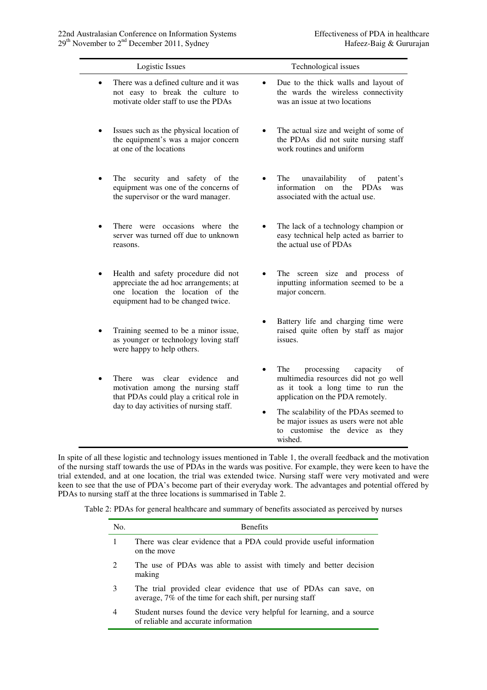| Logistic Issues                                                                                                                                                      | Technological issues                                                                                                                                                                                                                                                                                            |
|----------------------------------------------------------------------------------------------------------------------------------------------------------------------|-----------------------------------------------------------------------------------------------------------------------------------------------------------------------------------------------------------------------------------------------------------------------------------------------------------------|
| There was a defined culture and it was<br>$\bullet$<br>not easy to break the culture to<br>motivate older staff to use the PDAs                                      | Due to the thick walls and layout of<br>$\bullet$<br>the wards the wireless connectivity<br>was an issue at two locations                                                                                                                                                                                       |
| Issues such as the physical location of<br>the equipment's was a major concern<br>at one of the locations                                                            | The actual size and weight of some of<br>$\bullet$<br>the PDAs did not suite nursing staff<br>work routines and uniform                                                                                                                                                                                         |
| The security and safety of the<br>equipment was one of the concerns of<br>the supervisor or the ward manager.                                                        | The<br>unavailability<br>of<br>patent's<br>information<br>$\Omega$<br>the<br><b>PDAs</b><br>was<br>associated with the actual use.                                                                                                                                                                              |
| There were occasions where the<br>server was turned off due to unknown<br>reasons.                                                                                   | The lack of a technology champion or<br>easy technical help acted as barrier to<br>the actual use of PDAs                                                                                                                                                                                                       |
| Health and safety procedure did not<br>appreciate the ad hoc arrangements; at<br>one location the location of the<br>equipment had to be changed twice.              | The screen size and process of<br>inputting information seemed to be a<br>major concern.                                                                                                                                                                                                                        |
| Training seemed to be a minor issue,<br>as younger or technology loving staff<br>were happy to help others.                                                          | Battery life and charging time were<br>$\bullet$<br>raised quite often by staff as major<br>issues.                                                                                                                                                                                                             |
| clear<br>evidence<br>There<br>was<br>and<br>motivation among the nursing staff<br>that PDAs could play a critical role in<br>day to day activities of nursing staff. | The<br>processing<br>capacity<br>of<br>$\bullet$<br>multimedia resources did not go well<br>as it took a long time to run the<br>application on the PDA remotely.<br>The scalability of the PDAs seemed to<br>$\bullet$<br>be major issues as users were not able<br>to customise the device as they<br>wished. |

In spite of all these logistic and technology issues mentioned in Table 1, the overall feedback and the motivation of the nursing staff towards the use of PDAs in the wards was positive. For example, they were keen to have the trial extended, and at one location, the trial was extended twice. Nursing staff were very motivated and were keen to see that the use of PDA's become part of their everyday work. The advantages and potential offered by PDAs to nursing staff at the three locations is summarised in Table 2.

Table 2: PDAs for general healthcare and summary of benefits associated as perceived by nurses

| No.           | <b>Benefits</b>                                                                                                                 |
|---------------|---------------------------------------------------------------------------------------------------------------------------------|
|               | There was clear evidence that a PDA could provide useful information<br>on the move                                             |
| $\mathcal{L}$ | The use of PDAs was able to assist with timely and better decision<br>making                                                    |
| 3             | The trial provided clear evidence that use of PDAs can save, on<br>average, $7\%$ of the time for each shift, per nursing staff |
| 4             | Student nurses found the device very helpful for learning, and a source<br>of reliable and accurate information                 |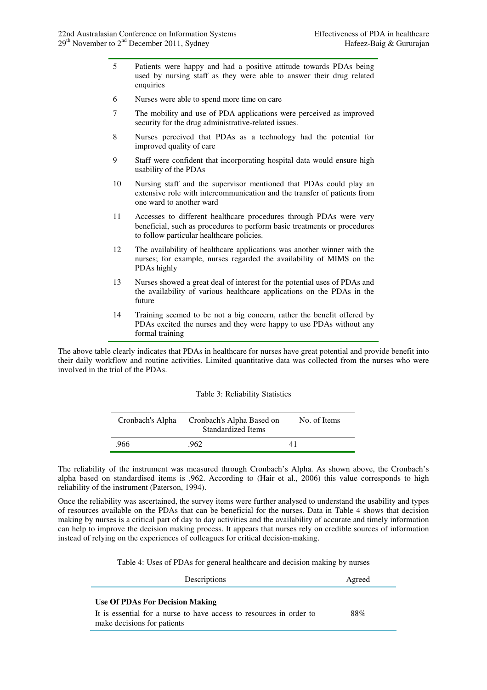- 5 Patients were happy and had a positive attitude towards PDAs being used by nursing staff as they were able to answer their drug related enquiries
- 6 Nurses were able to spend more time on care
- 7 The mobility and use of PDA applications were perceived as improved security for the drug administrative-related issues.
- 8 Nurses perceived that PDAs as a technology had the potential for improved quality of care
- 9 Staff were confident that incorporating hospital data would ensure high usability of the PDAs
- 10 Nursing staff and the supervisor mentioned that PDAs could play an extensive role with intercommunication and the transfer of patients from one ward to another ward
- 11 Accesses to different healthcare procedures through PDAs were very beneficial, such as procedures to perform basic treatments or procedures to follow particular healthcare policies.
- 12 The availability of healthcare applications was another winner with the nurses; for example, nurses regarded the availability of MIMS on the PDAs highly
- 13 Nurses showed a great deal of interest for the potential uses of PDAs and the availability of various healthcare applications on the PDAs in the future
- 14 Training seemed to be not a big concern, rather the benefit offered by PDAs excited the nurses and they were happy to use PDAs without any formal training

The above table clearly indicates that PDAs in healthcare for nurses have great potential and provide benefit into their daily workflow and routine activities. Limited quantitative data was collected from the nurses who were involved in the trial of the PDAs.

#### Table 3: Reliability Statistics

| Cronbach's Alpha Based on<br>Cronbach's Alpha<br>Standardized Items |     | No. of Items |  |
|---------------------------------------------------------------------|-----|--------------|--|
| .966                                                                | 962 |              |  |

The reliability of the instrument was measured through Cronbach's Alpha. As shown above, the Cronbach's alpha based on standardised items is .962. According to (Hair et al., 2006) this value corresponds to high reliability of the instrument (Paterson, 1994).

Once the reliability was ascertained, the survey items were further analysed to understand the usability and types of resources available on the PDAs that can be beneficial for the nurses. Data in Table 4 shows that decision making by nurses is a critical part of day to day activities and the availability of accurate and timely information can help to improve the decision making process. It appears that nurses rely on credible sources of information instead of relying on the experiences of colleagues for critical decision-making.

Table 4: Uses of PDAs for general healthcare and decision making by nurses

| Descriptions                                                                                                                          | Agreed |  |
|---------------------------------------------------------------------------------------------------------------------------------------|--------|--|
| Use Of PDAs For Decision Making<br>It is essential for a nurse to have access to resources in order to<br>make decisions for patients | 88%    |  |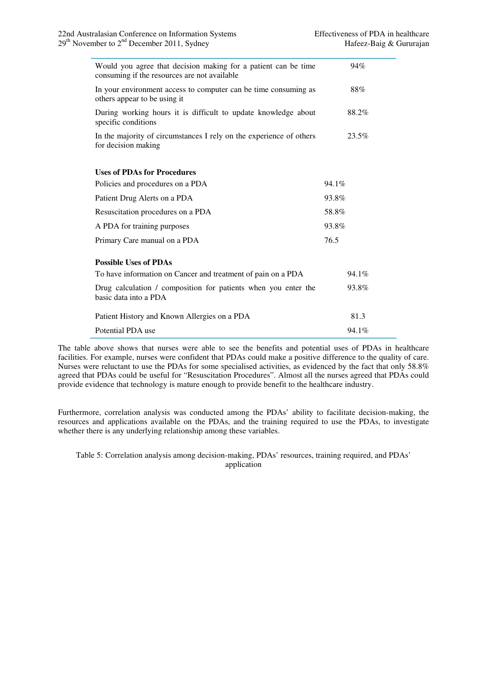| Would you agree that decision making for a patient can be time<br>consuming if the resources are not available | 94%   |  |  |
|----------------------------------------------------------------------------------------------------------------|-------|--|--|
| In your environment access to computer can be time consuming as<br>others appear to be using it                | 88%   |  |  |
| During working hours it is difficult to update knowledge about<br>specific conditions                          | 88.2% |  |  |
| In the majority of circumstances I rely on the experience of others<br>for decision making                     | 23.5% |  |  |
| <b>Uses of PDAs for Procedures</b>                                                                             |       |  |  |
|                                                                                                                |       |  |  |
| Policies and procedures on a PDA                                                                               | 94.1% |  |  |
| Patient Drug Alerts on a PDA                                                                                   | 93.8% |  |  |
| Resuscitation procedures on a PDA                                                                              | 58.8% |  |  |
| A PDA for training purposes                                                                                    | 93.8% |  |  |
| Primary Care manual on a PDA                                                                                   | 76.5  |  |  |
| <b>Possible Uses of PDAs</b>                                                                                   |       |  |  |
| To have information on Cancer and treatment of pain on a PDA                                                   | 94.1% |  |  |
| Drug calculation / composition for patients when you enter the<br>basic data into a PDA                        | 93.8% |  |  |
| Patient History and Known Allergies on a PDA                                                                   | 81.3  |  |  |
| Potential PDA use                                                                                              | 94.1% |  |  |

The table above shows that nurses were able to see the benefits and potential uses of PDAs in healthcare facilities. For example, nurses were confident that PDAs could make a positive difference to the quality of care. Nurses were reluctant to use the PDAs for some specialised activities, as evidenced by the fact that only 58.8% agreed that PDAs could be useful for "Resuscitation Procedures". Almost all the nurses agreed that PDAs could provide evidence that technology is mature enough to provide benefit to the healthcare industry.

Furthermore, correlation analysis was conducted among the PDAs' ability to facilitate decision-making, the resources and applications available on the PDAs, and the training required to use the PDAs, to investigate whether there is any underlying relationship among these variables.

Table 5: Correlation analysis among decision-making, PDAs' resources, training required, and PDAs' application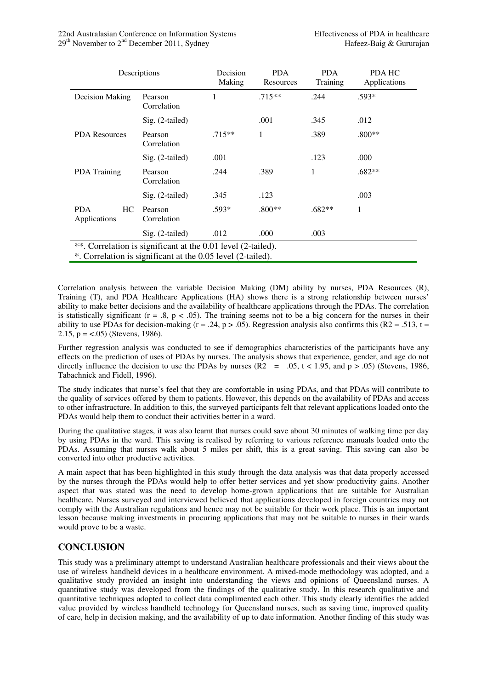|                                                                                                                             | Descriptions           | Decision<br>Making | <b>PDA</b><br>Resources | <b>PDA</b><br>Training | <b>PDA HC</b><br>Applications |  |
|-----------------------------------------------------------------------------------------------------------------------------|------------------------|--------------------|-------------------------|------------------------|-------------------------------|--|
| Decision Making                                                                                                             | Pearson<br>Correlation | 1                  | $.715**$                | .244                   | .593*                         |  |
|                                                                                                                             | Sig. (2-tailed)        |                    | .001                    | .345                   | .012                          |  |
| <b>PDA Resources</b>                                                                                                        | Pearson<br>Correlation | $.715**$           | 1                       | .389                   | $.800**$                      |  |
|                                                                                                                             | Sig. (2-tailed)        | .001               |                         | .123                   | .000                          |  |
| <b>PDA</b> Training                                                                                                         | Pearson<br>Correlation | .244               | .389                    | 1                      | $.682**$                      |  |
|                                                                                                                             | $Sig. (2-tailed)$      | .345               | .123                    |                        | .003                          |  |
| <b>PDA</b><br>HC.<br>Applications                                                                                           | Pearson<br>Correlation | $.593*$            | $.800**$                | $.682**$               | 1                             |  |
|                                                                                                                             | $Sig. (2-tailed)$      | .012               | .000                    | .003                   |                               |  |
| **. Correlation is significant at the 0.01 level (2-tailed).<br>*. Correlation is significant at the 0.05 level (2-tailed). |                        |                    |                         |                        |                               |  |

Correlation analysis between the variable Decision Making (DM) ability by nurses, PDA Resources (R), Training (T), and PDA Healthcare Applications (HA) shows there is a strong relationship between nurses' ability to make better decisions and the availability of healthcare applications through the PDAs. The correlation is statistically significant ( $r = .8$ ,  $p < .05$ ). The training seems not to be a big concern for the nurses in their ability to use PDAs for decision-making ( $r = .24$ ,  $p > .05$ ). Regression analysis also confirms this (R2 = .513, t = 2.15,  $p = <.05$ ) (Stevens, 1986).

Further regression analysis was conducted to see if demographics characteristics of the participants have any effects on the prediction of uses of PDAs by nurses. The analysis shows that experience, gender, and age do not directly influence the decision to use the PDAs by nurses  $(R2 = .05, t < 1.95, and p > .05)$  (Stevens, 1986, Tabachnick and Fidell, 1996).

The study indicates that nurse's feel that they are comfortable in using PDAs, and that PDAs will contribute to the quality of services offered by them to patients. However, this depends on the availability of PDAs and access to other infrastructure. In addition to this, the surveyed participants felt that relevant applications loaded onto the PDAs would help them to conduct their activities better in a ward.

During the qualitative stages, it was also learnt that nurses could save about 30 minutes of walking time per day by using PDAs in the ward. This saving is realised by referring to various reference manuals loaded onto the PDAs. Assuming that nurses walk about 5 miles per shift, this is a great saving. This saving can also be converted into other productive activities.

A main aspect that has been highlighted in this study through the data analysis was that data properly accessed by the nurses through the PDAs would help to offer better services and yet show productivity gains. Another aspect that was stated was the need to develop home-grown applications that are suitable for Australian healthcare. Nurses surveyed and interviewed believed that applications developed in foreign countries may not comply with the Australian regulations and hence may not be suitable for their work place. This is an important lesson because making investments in procuring applications that may not be suitable to nurses in their wards would prove to be a waste.

# **CONCLUSION**

This study was a preliminary attempt to understand Australian healthcare professionals and their views about the use of wireless handheld devices in a healthcare environment. A mixed-mode methodology was adopted, and a qualitative study provided an insight into understanding the views and opinions of Queensland nurses. A quantitative study was developed from the findings of the qualitative study. In this research qualitative and quantitative techniques adopted to collect data complimented each other. This study clearly identifies the added value provided by wireless handheld technology for Queensland nurses, such as saving time, improved quality of care, help in decision making, and the availability of up to date information. Another finding of this study was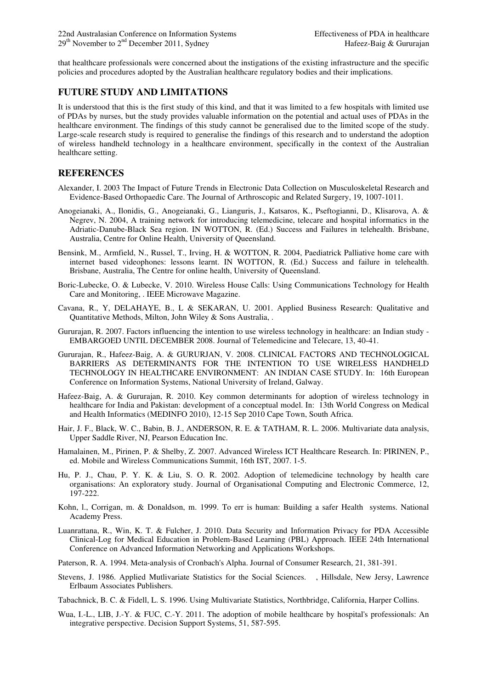that healthcare professionals were concerned about the instigations of the existing infrastructure and the specific policies and procedures adopted by the Australian healthcare regulatory bodies and their implications.

### **FUTURE STUDY AND LIMITATIONS**

It is understood that this is the first study of this kind, and that it was limited to a few hospitals with limited use of PDAs by nurses, but the study provides valuable information on the potential and actual uses of PDAs in the healthcare environment. The findings of this study cannot be generalised due to the limited scope of the study. Large-scale research study is required to generalise the findings of this research and to understand the adoption of wireless handheld technology in a healthcare environment, specifically in the context of the Australian healthcare setting.

#### **REFERENCES**

- Alexander, I. 2003 The Impact of Future Trends in Electronic Data Collection on Musculoskeletal Research and Evidence-Based Orthopaedic Care. The Journal of Arthroscopic and Related Surgery, 19, 1007-1011.
- Anogeianaki, A., Ilonidis, G., Anogeianaki, G., Lianguris, J., Katsaros, K., Pseftogianni, D., Klisarova, A. & Negrev, N. 2004, A training network for introducing telemedicine, telecare and hospital informatics in the Adriatic-Danube-Black Sea region. IN WOTTON, R. (Ed.) Success and Failures in telehealth. Brisbane, Australia, Centre for Online Health, University of Queensland.
- Bensink, M., Armfield, N., Russel, T., Irving, H. & WOTTON, R. 2004, Paediatrick Palliative home care with internet based videophones: lessons learnt. IN WOTTON, R. (Ed.) Success and failure in telehealth. Brisbane, Australia, The Centre for online health, University of Queensland.
- Boric-Lubecke, O. & Lubecke, V. 2010. Wireless House Calls: Using Communications Technology for Health Care and Monitoring, . IEEE Microwave Magazine.
- Cavana, R., Y, DELAHAYE, B., L & SEKARAN, U. 2001. Applied Business Research: Qualitative and Quantitative Methods, Milton, John Wiley & Sons Australia, .
- Gururajan, R. 2007. Factors influencing the intention to use wireless technology in healthcare: an Indian study EMBARGOED UNTIL DECEMBER 2008. Journal of Telemedicine and Telecare, 13, 40-41.
- Gururajan, R., Hafeez-Baig, A. & GURURJAN, V. 2008. CLINICAL FACTORS AND TECHNOLOGICAL BARRIERS AS DETERMINANTS FOR THE INTENTION TO USE WIRELESS HANDHELD TECHNOLOGY IN HEALTHCARE ENVIRONMENT: AN INDIAN CASE STUDY. In: 16th European Conference on Information Systems, National University of Ireland, Galway.
- Hafeez-Baig, A. & Gururajan, R. 2010. Key common determinants for adoption of wireless technology in healthcare for India and Pakistan: development of a conceptual model. In: 13th World Congress on Medical and Health Informatics (MEDINFO 2010), 12-15 Sep 2010 Cape Town, South Africa.
- Hair, J. F., Black, W. C., Babin, B. J., ANDERSON, R. E. & TATHAM, R. L. 2006. Multivariate data analysis, Upper Saddle River, NJ, Pearson Education Inc.
- Hamalainen, M., Pirinen, P. & Shelby, Z. 2007. Advanced Wireless ICT Healthcare Research. In: PIRINEN, P., ed. Mobile and Wireless Communications Summit, 16th IST, 2007. 1-5.
- Hu, P. J., Chau, P. Y. K. & Liu, S. O. R. 2002. Adoption of telemedicine technology by health care organisations: An exploratory study. Journal of Organisational Computing and Electronic Commerce, 12, 197-222.
- Kohn, l., Corrigan, m. & Donaldson, m. 1999. To err is human: Building a safer Health systems. National Academy Press.
- Luanrattana, R., Win, K. T. & Fulcher, J. 2010. Data Security and Information Privacy for PDA Accessible Clinical-Log for Medical Education in Problem-Based Learning (PBL) Approach. IEEE 24th International Conference on Advanced Information Networking and Applications Workshops.
- Paterson, R. A. 1994. Meta-analysis of Cronbach's Alpha. Journal of Consumer Research, 21, 381-391.
- Stevens, J. 1986. Applied Mutlivariate Statistics for the Social Sciences. , Hillsdale, New Jersy, Lawrence Erlbaum Associates Publishers.

Tabachnick, B. C. & Fidell, L. S. 1996. Using Multivariate Statistics, Northbridge, California, Harper Collins.

Wua, I.-L., LIB, J.-Y. & FUC, C.-Y. 2011. The adoption of mobile healthcare by hospital's professionals: An integrative perspective. Decision Support Systems, 51, 587-595.